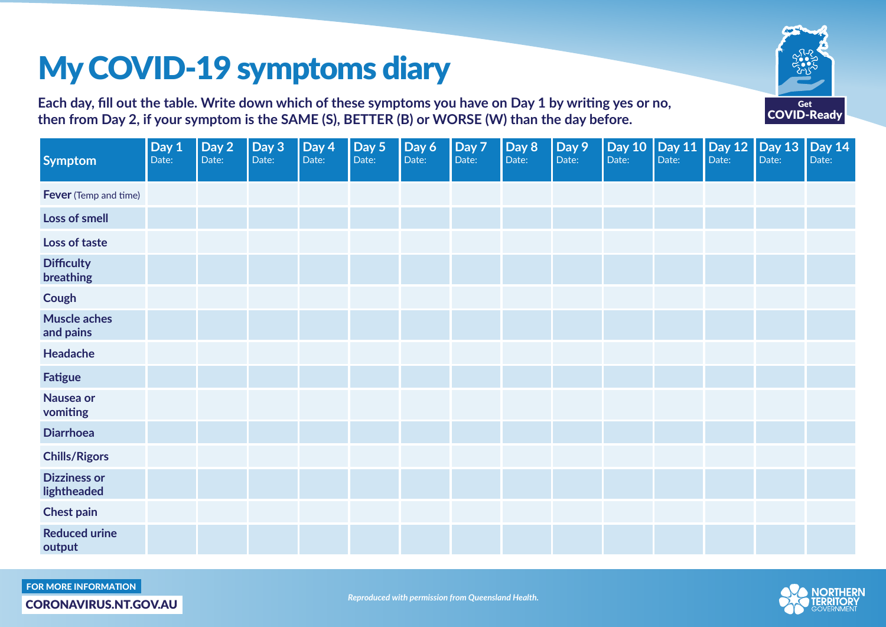## My COVID-19 symptoms diary

Get COVID-Ready

**Each day, fill out the table. Write down which of these symptoms you have on Day 1 by writing yes or no, then from Day 2, if your symptom is the SAME (S), BETTER (B) or WORSE (W) than the day before.**

| <b>Symptom</b>                     | Day $1$<br>Date: | Day 2<br>Date: | Day 3<br>Date: | Day 4<br>Date: | Day 5<br>Date: | Day 6<br>Date: | Day 7<br>Date: | Day 8<br>Date: | Day 9<br>Date: | Date: | Day 10 Day 11 Day 12<br>Date: | Date: | Day 13 $ $<br>Date: | <b>Day 14</b><br>Date: |
|------------------------------------|------------------|----------------|----------------|----------------|----------------|----------------|----------------|----------------|----------------|-------|-------------------------------|-------|---------------------|------------------------|
| <b>Fever</b> (Temp and time)       |                  |                |                |                |                |                |                |                |                |       |                               |       |                     |                        |
| Loss of smell                      |                  |                |                |                |                |                |                |                |                |       |                               |       |                     |                        |
| Loss of taste                      |                  |                |                |                |                |                |                |                |                |       |                               |       |                     |                        |
| <b>Difficulty</b><br>breathing     |                  |                |                |                |                |                |                |                |                |       |                               |       |                     |                        |
| Cough                              |                  |                |                |                |                |                |                |                |                |       |                               |       |                     |                        |
| <b>Muscle aches</b><br>and pains   |                  |                |                |                |                |                |                |                |                |       |                               |       |                     |                        |
| Headache                           |                  |                |                |                |                |                |                |                |                |       |                               |       |                     |                        |
| <b>Fatigue</b>                     |                  |                |                |                |                |                |                |                |                |       |                               |       |                     |                        |
| Nausea or<br>vomiting              |                  |                |                |                |                |                |                |                |                |       |                               |       |                     |                        |
| <b>Diarrhoea</b>                   |                  |                |                |                |                |                |                |                |                |       |                               |       |                     |                        |
| <b>Chills/Rigors</b>               |                  |                |                |                |                |                |                |                |                |       |                               |       |                     |                        |
| <b>Dizziness or</b><br>lightheaded |                  |                |                |                |                |                |                |                |                |       |                               |       |                     |                        |
| <b>Chest pain</b>                  |                  |                |                |                |                |                |                |                |                |       |                               |       |                     |                        |
| <b>Reduced urine</b><br>output     |                  |                |                |                |                |                |                |                |                |       |                               |       |                     |                        |

FOR MORE INFORMATION